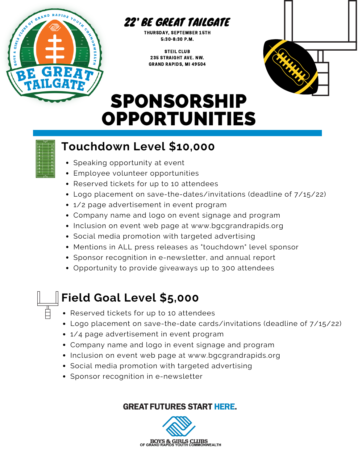

#### 22' BE GREAT TAILGATE

THURSDAY, SEPTEMBER 15TH 5:30-8:30 P.M.

STEIL CLUB 235 STRAIGHT AVE. NW. GRAND RAPIDS, MI 49504



# SPONSORSHIP OPPORTUNITIES

## **Touchdown Level \$10,000**

- Speaking opportunity at event
- Employee volunteer opportunities
- Reserved tickets for up to 10 attendees
- Logo placement on save-the-dates/invitations (deadline of 7/15/22)
- 1/2 page advertisement in event program
- Company name and logo on event signage and program
- Inclusion on event web page at www.bgcgrandrapids.org
- Social media promotion with targeted advertising
- Mentions in ALL press releases as "touchdown" level sponsor
- Sponsor recognition in e-newsletter, and annual report
- Opportunity to provide giveaways up to 300 attendees

## **Field Goal Level \$5,000**

- Reserved tickets for up to 10 attendees
- Logo placement on save-the-date cards/invitations (deadline of 7/15/22)
- 1/4 page advertisement in event program
- Company name and logo in event signage and program
- Inclusion on event web page at www.bgcgrandrapids.org
- Social media promotion with targeted advertising
- Sponsor recognition in e-newsletter

#### **GREAT FUTURES START HERE.**

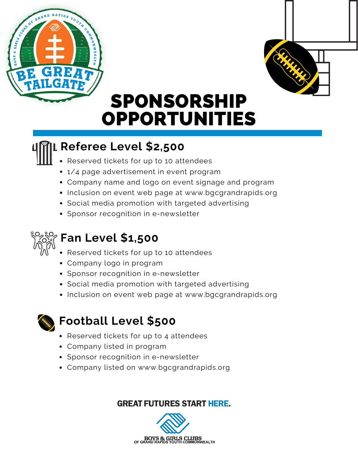



# SPONSORSHIP OPPORTUNITIES

### **Referee Level \$2,500**

- Reserved tickets for up to 10 attendees
- 1/4 page advertisement in event program
- Company name and logo on event signage and program
- Inclusion on event web page at www.bgcgrandrapids.org
- Social media promotion with targeted advertising
- Sponsor recognition in e-newsletter



### **Fan Level \$1,500**

- Reserved tickets for up to 10 attendees
- Company logo in program
- Sponsor recognition in e-newsletter
- Social media promotion with targeted advertising
- Inclusion on event web page at www.bgcgrandrapids.org



### **Football Level \$500**

- Reserved tickets for up to 4 attendees
- Company listed in program
- Sponsor recognition in e-newsletter
- Company listed on www.bgcgrandrapids.org

#### **GREAT FUTURES START HERE.**